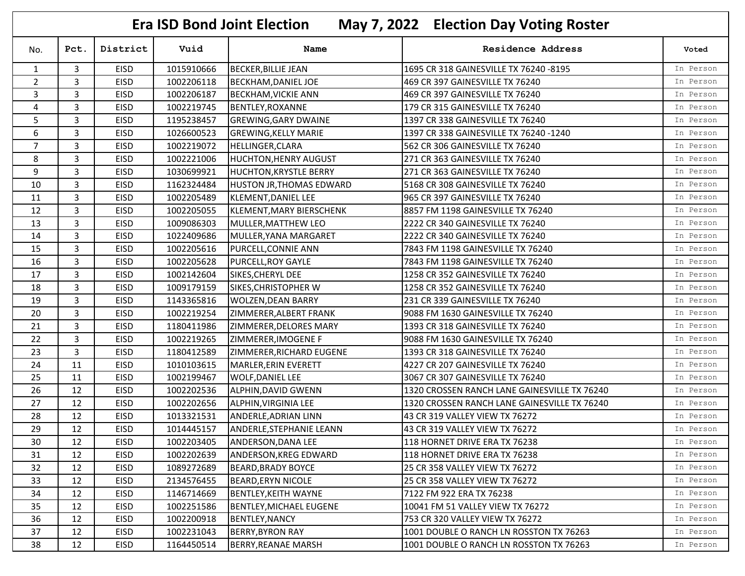|                | <b>Era ISD Bond Joint Election</b><br>May 7, 2022 Election Day Voting Roster |             |            |                                 |                                              |           |  |  |
|----------------|------------------------------------------------------------------------------|-------------|------------|---------------------------------|----------------------------------------------|-----------|--|--|
| No.            | Pct.                                                                         | District    | Vuid       | Name                            | <b>Residence Address</b>                     | Voted     |  |  |
| 1              | 3                                                                            | EISD        | 1015910666 | <b>BECKER, BILLIE JEAN</b>      | 1695 CR 318 GAINESVILLE TX 76240 -8195       | In Person |  |  |
| $\overline{2}$ | 3                                                                            | <b>EISD</b> | 1002206118 | <b>BECKHAM, DANIEL JOE</b>      | 469 CR 397 GAINESVILLE TX 76240              | In Person |  |  |
| 3              | 3                                                                            | <b>EISD</b> | 1002206187 | <b>BECKHAM, VICKIE ANN</b>      | 469 CR 397 GAINESVILLE TX 76240              | In Person |  |  |
| $\overline{4}$ | 3                                                                            | EISD        | 1002219745 | <b>BENTLEY, ROXANNE</b>         | 179 CR 315 GAINESVILLE TX 76240              | In Person |  |  |
| 5              | 3                                                                            | <b>EISD</b> | 1195238457 | <b>GREWING, GARY DWAINE</b>     | 1397 CR 338 GAINESVILLE TX 76240             | In Person |  |  |
| 6              | 3                                                                            | <b>EISD</b> | 1026600523 | <b>GREWING, KELLY MARIE</b>     | 1397 CR 338 GAINESVILLE TX 76240 -1240       | In Person |  |  |
| $\overline{7}$ | 3                                                                            | <b>EISD</b> | 1002219072 | HELLINGER, CLARA                | 562 CR 306 GAINESVILLE TX 76240              | In Person |  |  |
| 8              | 3                                                                            | <b>EISD</b> | 1002221006 | <b>HUCHTON, HENRY AUGUST</b>    | 271 CR 363 GAINESVILLE TX 76240              | In Person |  |  |
| 9              | 3                                                                            | <b>EISD</b> | 1030699921 | <b>HUCHTON, KRYSTLE BERRY</b>   | 271 CR 363 GAINESVILLE TX 76240              | In Person |  |  |
| 10             | 3                                                                            | <b>EISD</b> | 1162324484 | HUSTON JR, THOMAS EDWARD        | 5168 CR 308 GAINESVILLE TX 76240             | In Person |  |  |
| 11             | 3                                                                            | <b>EISD</b> | 1002205489 | KLEMENT, DANIEL LEE             | 965 CR 397 GAINESVILLE TX 76240              | In Person |  |  |
| 12             | 3                                                                            | <b>EISD</b> | 1002205055 | <b>KLEMENT, MARY BIERSCHENK</b> | 8857 FM 1198 GAINESVILLE TX 76240            | In Person |  |  |
| 13             | 3                                                                            | EISD        | 1009086303 | MULLER, MATTHEW LEO             | 2222 CR 340 GAINESVILLE TX 76240             | In Person |  |  |
| 14             | 3                                                                            | <b>EISD</b> | 1022409686 | MULLER, YANA MARGARET           | 2222 CR 340 GAINESVILLE TX 76240             | In Person |  |  |
| 15             | 3                                                                            | <b>EISD</b> | 1002205616 | PURCELL, CONNIE ANN             | 7843 FM 1198 GAINESVILLE TX 76240            | In Person |  |  |
| 16             | 3                                                                            | <b>EISD</b> | 1002205628 | PURCELL, ROY GAYLE              | 7843 FM 1198 GAINESVILLE TX 76240            | In Person |  |  |
| 17             | $\overline{3}$                                                               | <b>EISD</b> | 1002142604 | SIKES, CHERYL DEE               | 1258 CR 352 GAINESVILLE TX 76240             | In Person |  |  |
| 18             | 3                                                                            | <b>EISD</b> | 1009179159 | SIKES, CHRISTOPHER W            | 1258 CR 352 GAINESVILLE TX 76240             | In Person |  |  |
| 19             | 3                                                                            | <b>EISD</b> | 1143365816 | <b>WOLZEN, DEAN BARRY</b>       | 231 CR 339 GAINESVILLE TX 76240              | In Person |  |  |
| 20             | 3                                                                            | EISD        | 1002219254 | ZIMMERER, ALBERT FRANK          | 9088 FM 1630 GAINESVILLE TX 76240            | In Person |  |  |
| 21             | 3                                                                            | <b>EISD</b> | 1180411986 | ZIMMERER, DELORES MARY          | 1393 CR 318 GAINESVILLE TX 76240             | In Person |  |  |
| 22             | 3                                                                            | EISD        | 1002219265 | ZIMMERER, IMOGENE F             | 9088 FM 1630 GAINESVILLE TX 76240            | In Person |  |  |
| 23             | 3                                                                            | <b>EISD</b> | 1180412589 | ZIMMERER, RICHARD EUGENE        | 1393 CR 318 GAINESVILLE TX 76240             | In Person |  |  |
| 24             | 11                                                                           | <b>EISD</b> | 1010103615 | MARLER, ERIN EVERETT            | 4227 CR 207 GAINESVILLE TX 76240             | In Person |  |  |
| 25             | 11                                                                           | <b>EISD</b> | 1002199467 | <b>WOLF, DANIEL LEE</b>         | 3067 CR 307 GAINESVILLE TX 76240             | In Person |  |  |
| 26             | 12                                                                           | EISD        | 1002202536 | ALPHIN, DAVID GWENN             | 1320 CROSSEN RANCH LANE GAINESVILLE TX 76240 | In Person |  |  |
| 27             | 12                                                                           | <b>EISD</b> | 1002202656 | ALPHIN, VIRGINIA LEE            | 1320 CROSSEN RANCH LANE GAINESVILLE TX 76240 | In Person |  |  |
| 28             | 12                                                                           | <b>EISD</b> | 1013321531 | ANDERLE, ADRIAN LINN            | 43 CR 319 VALLEY VIEW TX 76272               | In Person |  |  |
| 29             | 12                                                                           | <b>EISD</b> | 1014445157 | <b>ANDERLE, STEPHANIE LEANN</b> | 43 CR 319 VALLEY VIEW TX 76272               | In Person |  |  |
| 30             | 12                                                                           | <b>EISD</b> | 1002203405 | ANDERSON, DANA LEE              | 118 HORNET DRIVE ERA TX 76238                | In Person |  |  |
| 31             | 12                                                                           | EISD        | 1002202639 | ANDERSON, KREG EDWARD           | 118 HORNET DRIVE ERA TX 76238                | In Person |  |  |
| 32             | 12                                                                           | EISD        | 1089272689 | <b>BEARD, BRADY BOYCE</b>       | 25 CR 358 VALLEY VIEW TX 76272               | In Person |  |  |
| 33             | 12                                                                           | EISD        | 2134576455 | <b>BEARD, ERYN NICOLE</b>       | 25 CR 358 VALLEY VIEW TX 76272               | In Person |  |  |
| 34             | 12                                                                           | EISD        | 1146714669 | <b>BENTLEY, KEITH WAYNE</b>     | 7122 FM 922 ERA TX 76238                     | In Person |  |  |
| 35             | 12                                                                           | EISD        | 1002251586 | <b>BENTLEY, MICHAEL EUGENE</b>  | 10041 FM 51 VALLEY VIEW TX 76272             | In Person |  |  |
| 36             | 12                                                                           | EISD        | 1002200918 | <b>BENTLEY, NANCY</b>           | 753 CR 320 VALLEY VIEW TX 76272              | In Person |  |  |
| 37             | 12                                                                           | EISD        | 1002231043 | <b>BERRY, BYRON RAY</b>         | 1001 DOUBLE O RANCH LN ROSSTON TX 76263      | In Person |  |  |
| 38             | 12                                                                           | EISD        | 1164450514 | <b>BERRY, REANAE MARSH</b>      | 1001 DOUBLE O RANCH LN ROSSTON TX 76263      | In Person |  |  |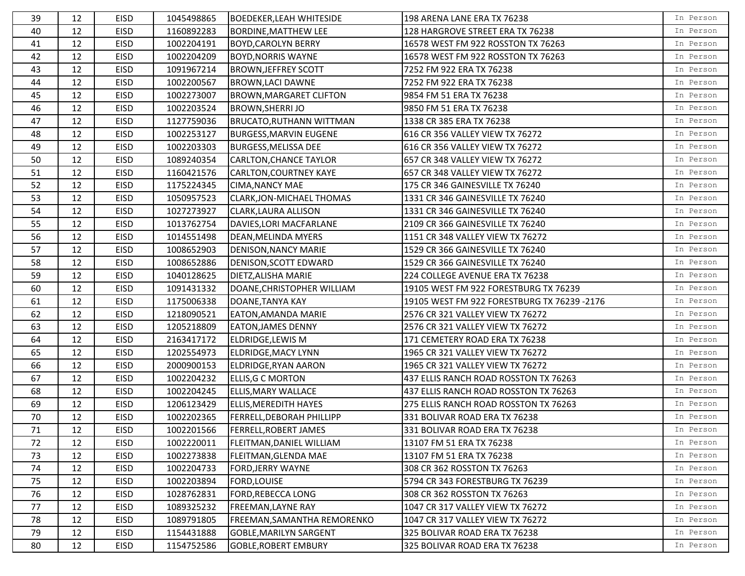| 39 | 12 | <b>EISD</b> | 1045498865 | <b>BOEDEKER, LEAH WHITESIDE</b> | 198 ARENA LANE ERA TX 76238                 | In Person |
|----|----|-------------|------------|---------------------------------|---------------------------------------------|-----------|
| 40 | 12 | <b>EISD</b> | 1160892283 | <b>BORDINE, MATTHEW LEE</b>     | 128 HARGROVE STREET ERA TX 76238            | In Person |
| 41 | 12 | <b>EISD</b> | 1002204191 | <b>BOYD, CAROLYN BERRY</b>      | 16578 WEST FM 922 ROSSTON TX 76263          | In Person |
| 42 | 12 | <b>EISD</b> | 1002204209 | <b>BOYD, NORRIS WAYNE</b>       | 16578 WEST FM 922 ROSSTON TX 76263          | In Person |
| 43 | 12 | <b>EISD</b> | 1091967214 | <b>BROWN, JEFFREY SCOTT</b>     | 7252 FM 922 ERA TX 76238                    | In Person |
| 44 | 12 | <b>EISD</b> | 1002200567 | <b>BROWN, LACI DAWNE</b>        | 7252 FM 922 ERA TX 76238                    | In Person |
| 45 | 12 | <b>EISD</b> | 1002273007 | <b>BROWN, MARGARET CLIFTON</b>  | 9854 FM 51 ERA TX 76238                     | In Person |
| 46 | 12 | <b>EISD</b> | 1002203524 | <b>BROWN, SHERRI JO</b>         | 9850 FM 51 ERA TX 76238                     | In Person |
| 47 | 12 | <b>EISD</b> | 1127759036 | <b>BRUCATO, RUTHANN WITTMAN</b> | 1338 CR 385 ERA TX 76238                    | In Person |
| 48 | 12 | <b>EISD</b> | 1002253127 | <b>BURGESS, MARVIN EUGENE</b>   | 616 CR 356 VALLEY VIEW TX 76272             | In Person |
| 49 | 12 | <b>EISD</b> | 1002203303 | <b>BURGESS, MELISSA DEE</b>     | 616 CR 356 VALLEY VIEW TX 76272             | In Person |
| 50 | 12 | <b>EISD</b> | 1089240354 | <b>CARLTON, CHANCE TAYLOR</b>   | 657 CR 348 VALLEY VIEW TX 76272             | In Person |
| 51 | 12 | <b>EISD</b> | 1160421576 | <b>CARLTON, COURTNEY KAYE</b>   | 657 CR 348 VALLEY VIEW TX 76272             | In Person |
| 52 | 12 | <b>EISD</b> | 1175224345 | <b>CIMA, NANCY MAE</b>          | 175 CR 346 GAINESVILLE TX 76240             | In Person |
| 53 | 12 | <b>EISD</b> | 1050957523 | CLARK, JON-MICHAEL THOMAS       | 1331 CR 346 GAINESVILLE TX 76240            | In Person |
| 54 | 12 | <b>EISD</b> | 1027273927 | CLARK, LAURA ALLISON            | 1331 CR 346 GAINESVILLE TX 76240            | In Person |
| 55 | 12 | <b>EISD</b> | 1013762754 | DAVIES, LORI MACFARLANE         | 2109 CR 366 GAINESVILLE TX 76240            | In Person |
| 56 | 12 | <b>EISD</b> | 1014551498 | DEAN, MELINDA MYERS             | 1151 CR 348 VALLEY VIEW TX 76272            | In Person |
| 57 | 12 | <b>EISD</b> | 1008652903 | DENISON, NANCY MARIE            | 1529 CR 366 GAINESVILLE TX 76240            | In Person |
| 58 | 12 | <b>EISD</b> | 1008652886 | DENISON, SCOTT EDWARD           | 1529 CR 366 GAINESVILLE TX 76240            | In Person |
| 59 | 12 | <b>EISD</b> | 1040128625 | DIETZ, ALISHA MARIE             | 224 COLLEGE AVENUE ERA TX 76238             | In Person |
| 60 | 12 | <b>EISD</b> | 1091431332 | DOANE, CHRISTOPHER WILLIAM      | 19105 WEST FM 922 FORESTBURG TX 76239       | In Person |
| 61 | 12 | <b>EISD</b> | 1175006338 | DOANE, TANYA KAY                | 19105 WEST FM 922 FORESTBURG TX 76239 -2176 | In Person |
| 62 | 12 | EISD        | 1218090521 | EATON, AMANDA MARIE             | 2576 CR 321 VALLEY VIEW TX 76272            | In Person |
| 63 | 12 | <b>EISD</b> | 1205218809 | <b>EATON, JAMES DENNY</b>       | 2576 CR 321 VALLEY VIEW TX 76272            | In Person |
| 64 | 12 | <b>EISD</b> | 2163417172 | ELDRIDGE, LEWIS M               | 171 CEMETERY ROAD ERA TX 76238              | In Person |
| 65 | 12 | <b>EISD</b> | 1202554973 | ELDRIDGE, MACY LYNN             | 1965 CR 321 VALLEY VIEW TX 76272            | In Person |
| 66 | 12 | <b>EISD</b> | 2000900153 | ELDRIDGE, RYAN AARON            | 1965 CR 321 VALLEY VIEW TX 76272            | In Person |
| 67 | 12 | <b>EISD</b> | 1002204232 | <b>ELLIS, G C MORTON</b>        | 437 ELLIS RANCH ROAD ROSSTON TX 76263       | In Person |
| 68 | 12 | <b>EISD</b> | 1002204245 | ELLIS, MARY WALLACE             | 437 ELLIS RANCH ROAD ROSSTON TX 76263       | In Person |
| 69 | 12 | <b>EISD</b> | 1206123429 | <b>ELLIS, MEREDITH HAYES</b>    | 275 ELLIS RANCH ROAD ROSSTON TX 76263       | In Person |
| 70 | 12 | <b>EISD</b> | 1002202365 | FERRELL, DEBORAH PHILLIPP       | 331 BOLIVAR ROAD ERA TX 76238               | In Person |
| 71 | 12 | EISD        | 1002201566 | <b>FERRELL, ROBERT JAMES</b>    | 331 BOLIVAR ROAD ERA TX 76238               | In Person |
| 72 | 12 | EISD        | 1002220011 | FLEITMAN, DANIEL WILLIAM        | 13107 FM 51 ERA TX 76238                    | In Person |
| 73 | 12 | EISD        | 1002273838 | FLEITMAN, GLENDA MAE            | 13107 FM 51 ERA TX 76238                    | In Person |
| 74 | 12 | EISD        | 1002204733 | <b>FORD, JERRY WAYNE</b>        | 308 CR 362 ROSSTON TX 76263                 | In Person |
| 75 | 12 | EISD        | 1002203894 | FORD, LOUISE                    | 5794 CR 343 FORESTBURG TX 76239             | In Person |
| 76 | 12 | EISD        | 1028762831 | FORD, REBECCA LONG              | 308 CR 362 ROSSTON TX 76263                 | In Person |
| 77 | 12 | EISD        | 1089325232 | FREEMAN, LAYNE RAY              | 1047 CR 317 VALLEY VIEW TX 76272            | In Person |
| 78 | 12 | EISD        | 1089791805 | FREEMAN, SAMANTHA REMORENKO     | 1047 CR 317 VALLEY VIEW TX 76272            | In Person |
| 79 | 12 | EISD        | 1154431888 | <b>GOBLE, MARILYN SARGENT</b>   | 325 BOLIVAR ROAD ERA TX 76238               | In Person |
| 80 | 12 | EISD        | 1154752586 | <b>GOBLE, ROBERT EMBURY</b>     | 325 BOLIVAR ROAD ERA TX 76238               | In Person |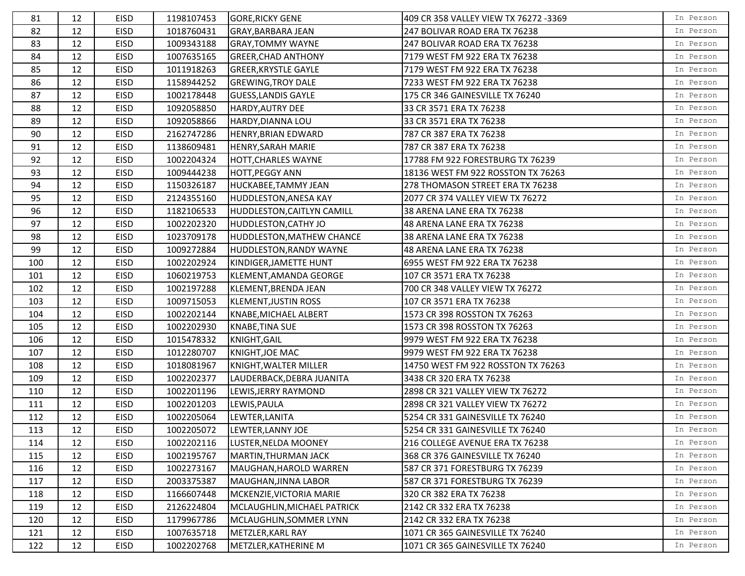| 81  | 12 | <b>EISD</b> | 1198107453 | <b>GORE, RICKY GENE</b>     | 409 CR 358 VALLEY VIEW TX 76272 -3369 | In Person |
|-----|----|-------------|------------|-----------------------------|---------------------------------------|-----------|
| 82  | 12 | <b>EISD</b> | 1018760431 | GRAY, BARBARA JEAN          | 247 BOLIVAR ROAD ERA TX 76238         | In Person |
| 83  | 12 | EISD        | 1009343188 | <b>GRAY, TOMMY WAYNE</b>    | 247 BOLIVAR ROAD ERA TX 76238         | In Person |
| 84  | 12 | EISD        | 1007635165 | <b>GREER, CHAD ANTHONY</b>  | 7179 WEST FM 922 ERA TX 76238         | In Person |
| 85  | 12 | EISD        | 1011918263 | <b>GREER, KRYSTLE GAYLE</b> | 7179 WEST FM 922 ERA TX 76238         | In Person |
| 86  | 12 | <b>EISD</b> | 1158944252 | <b>GREWING, TROY DALE</b>   | 7233 WEST FM 922 ERA TX 76238         | In Person |
| 87  | 12 | <b>EISD</b> | 1002178448 | <b>GUESS, LANDIS GAYLE</b>  | 175 CR 346 GAINESVILLE TX 76240       | In Person |
| 88  | 12 | EISD        | 1092058850 | HARDY, AUTRY DEE            | 33 CR 3571 ERA TX 76238               | In Person |
| 89  | 12 | <b>EISD</b> | 1092058866 | HARDY, DIANNA LOU           | 33 CR 3571 ERA TX 76238               | In Person |
| 90  | 12 | EISD        | 2162747286 | HENRY, BRIAN EDWARD         | 787 CR 387 ERA TX 76238               | In Person |
| 91  | 12 | EISD        | 1138609481 | HENRY, SARAH MARIE          | 787 CR 387 ERA TX 76238               | In Person |
| 92  | 12 | EISD        | 1002204324 | HOTT, CHARLES WAYNE         | 17788 FM 922 FORESTBURG TX 76239      | In Person |
| 93  | 12 | EISD        | 1009444238 | HOTT, PEGGY ANN             | 18136 WEST FM 922 ROSSTON TX 76263    | In Person |
| 94  | 12 | EISD        | 1150326187 | HUCKABEE, TAMMY JEAN        | 278 THOMASON STREET ERA TX 76238      | In Person |
| 95  | 12 | EISD        | 2124355160 | HUDDLESTON, ANESA KAY       | 2077 CR 374 VALLEY VIEW TX 76272      | In Person |
| 96  | 12 | EISD        | 1182106533 | HUDDLESTON, CAITLYN CAMILL  | 38 ARENA LANE ERA TX 76238            | In Person |
| 97  | 12 | <b>EISD</b> | 1002202320 | HUDDLESTON, CATHY JO        | 48 ARENA LANE ERA TX 76238            | In Person |
| 98  | 12 | EISD        | 1023709178 | HUDDLESTON, MATHEW CHANCE   | 38 ARENA LANE ERA TX 76238            | In Person |
| 99  | 12 | EISD        | 1009272884 | HUDDLESTON, RANDY WAYNE     | 48 ARENA LANE ERA TX 76238            | In Person |
| 100 | 12 | <b>EISD</b> | 1002202924 | KINDIGER, JAMETTE HUNT      | 6955 WEST FM 922 ERA TX 76238         | In Person |
| 101 | 12 | EISD        | 1060219753 | KLEMENT, AMANDA GEORGE      | 107 CR 3571 ERA TX 76238              | In Person |
| 102 | 12 | EISD        | 1002197288 | KLEMENT, BRENDA JEAN        | 700 CR 348 VALLEY VIEW TX 76272       | In Person |
| 103 | 12 | EISD        | 1009715053 | <b>KLEMENT, JUSTIN ROSS</b> | 107 CR 3571 ERA TX 76238              | In Person |
| 104 | 12 | <b>EISD</b> | 1002202144 | KNABE, MICHAEL ALBERT       | 1573 CR 398 ROSSTON TX 76263          | In Person |
| 105 | 12 | EISD        | 1002202930 | <b>KNABE, TINA SUE</b>      | 1573 CR 398 ROSSTON TX 76263          | In Person |
| 106 | 12 | EISD        | 1015478332 | KNIGHT, GAIL                | 9979 WEST FM 922 ERA TX 76238         | In Person |
| 107 | 12 | EISD        | 1012280707 | KNIGHT, JOE MAC             | 9979 WEST FM 922 ERA TX 76238         | In Person |
| 108 | 12 | EISD        | 1018081967 | KNIGHT, WALTER MILLER       | 14750 WEST FM 922 ROSSTON TX 76263    | In Person |
| 109 | 12 | EISD        | 1002202377 | LAUDERBACK, DEBRA JUANITA   | 3438 CR 320 ERA TX 76238              | In Person |
| 110 | 12 | EISD        | 1002201196 | LEWIS, JERRY RAYMOND        | 2898 CR 321 VALLEY VIEW TX 76272      | In Person |
| 111 | 12 | EISD        | 1002201203 | LEWIS, PAULA                | 2898 CR 321 VALLEY VIEW TX 76272      | In Person |
| 112 | 12 | <b>EISD</b> | 1002205064 | LEWTER, LANITA              | 5254 CR 331 GAINESVILLE TX 76240      | In Person |
| 113 | 12 | EISD        | 1002205072 | LEWTER, LANNY JOE           | 5254 CR 331 GAINESVILLE TX 76240      | In Person |
| 114 | 12 | EISD        | 1002202116 | LUSTER, NELDA MOONEY        | 216 COLLEGE AVENUE ERA TX 76238       | In Person |
| 115 | 12 | EISD        | 1002195767 | MARTIN, THURMAN JACK        | 368 CR 376 GAINESVILLE TX 76240       | In Person |
| 116 | 12 | EISD        | 1002273167 | MAUGHAN, HAROLD WARREN      | 587 CR 371 FORESTBURG TX 76239        | In Person |
| 117 | 12 | EISD        | 2003375387 | MAUGHAN, JINNA LABOR        | 587 CR 371 FORESTBURG TX 76239        | In Person |
| 118 | 12 | EISD        | 1166607448 | MCKENZIE, VICTORIA MARIE    | 320 CR 382 ERA TX 76238               | In Person |
| 119 | 12 | EISD        | 2126224804 | MCLAUGHLIN, MICHAEL PATRICK | 2142 CR 332 ERA TX 76238              | In Person |
| 120 | 12 | EISD        | 1179967786 | MCLAUGHLIN, SOMMER LYNN     | 2142 CR 332 ERA TX 76238              | In Person |
| 121 | 12 | EISD        | 1007635718 | METZLER, KARL RAY           | 1071 CR 365 GAINESVILLE TX 76240      | In Person |
| 122 | 12 | EISD        | 1002202768 | METZLER, KATHERINE M        | 1071 CR 365 GAINESVILLE TX 76240      | In Person |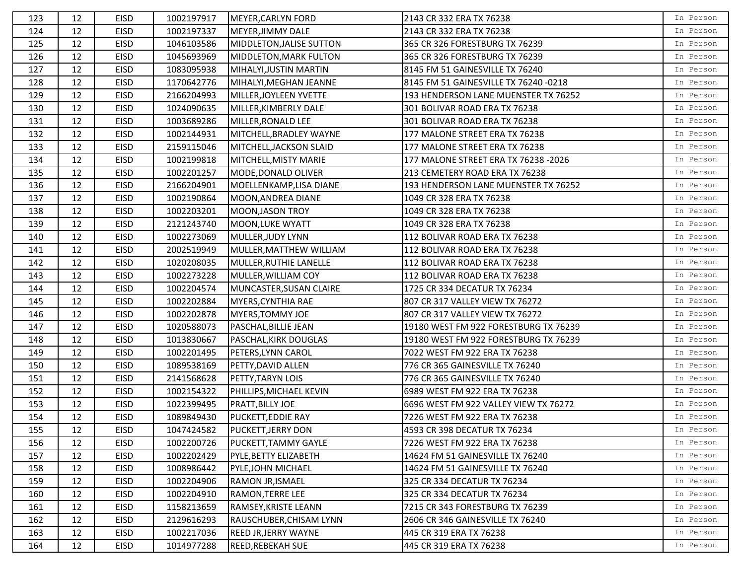| 123 | 12 | <b>EISD</b> | 1002197917 | MEYER, CARLYN FORD          | 2143 CR 332 ERA TX 76238              | In Person |
|-----|----|-------------|------------|-----------------------------|---------------------------------------|-----------|
| 124 | 12 | <b>EISD</b> | 1002197337 | MEYER, JIMMY DALE           | 2143 CR 332 ERA TX 76238              | In Person |
| 125 | 12 | <b>EISD</b> | 1046103586 | MIDDLETON, JALISE SUTTON    | 365 CR 326 FORESTBURG TX 76239        | In Person |
| 126 | 12 | <b>EISD</b> | 1045693969 | MIDDLETON, MARK FULTON      | 365 CR 326 FORESTBURG TX 76239        | In Person |
| 127 | 12 | <b>EISD</b> | 1083095938 | MIHALYI, JUSTIN MARTIN      | 8145 FM 51 GAINESVILLE TX 76240       | In Person |
| 128 | 12 | <b>EISD</b> | 1170642776 | MIHALYI, MEGHAN JEANNE      | 8145 FM 51 GAINESVILLE TX 76240 -0218 | In Person |
| 129 | 12 | <b>EISD</b> | 2166204993 | MILLER, JOYLEEN YVETTE      | 193 HENDERSON LANE MUENSTER TX 76252  | In Person |
| 130 | 12 | <b>EISD</b> | 1024090635 | MILLER, KIMBERLY DALE       | 301 BOLIVAR ROAD ERA TX 76238         | In Person |
| 131 | 12 | <b>EISD</b> | 1003689286 | MILLER, RONALD LEE          | 301 BOLIVAR ROAD ERA TX 76238         | In Person |
| 132 | 12 | <b>EISD</b> | 1002144931 | MITCHELL, BRADLEY WAYNE     | 177 MALONE STREET ERA TX 76238        | In Person |
| 133 | 12 | <b>EISD</b> | 2159115046 | MITCHELL, JACKSON SLAID     | 177 MALONE STREET ERA TX 76238        | In Person |
| 134 | 12 | <b>EISD</b> | 1002199818 | MITCHELL, MISTY MARIE       | 177 MALONE STREET ERA TX 76238 -2026  | In Person |
| 135 | 12 | <b>EISD</b> | 1002201257 | MODE, DONALD OLIVER         | 213 CEMETERY ROAD ERA TX 76238        | In Person |
| 136 | 12 | <b>EISD</b> | 2166204901 | MOELLENKAMP, LISA DIANE     | 193 HENDERSON LANE MUENSTER TX 76252  | In Person |
| 137 | 12 | <b>EISD</b> | 1002190864 | MOON, ANDREA DIANE          | 1049 CR 328 ERA TX 76238              | In Person |
| 138 | 12 | <b>EISD</b> | 1002203201 | <b>MOON, JASON TROY</b>     | 1049 CR 328 ERA TX 76238              | In Person |
| 139 | 12 | EISD        | 2121243740 | <b>MOON, LUKE WYATT</b>     | 1049 CR 328 ERA TX 76238              | In Person |
| 140 | 12 | <b>EISD</b> | 1002273069 | MULLER, JUDY LYNN           | 112 BOLIVAR ROAD ERA TX 76238         | In Person |
| 141 | 12 | EISD        | 2002519949 | MULLER, MATTHEW WILLIAM     | 112 BOLIVAR ROAD ERA TX 76238         | In Person |
| 142 | 12 | <b>EISD</b> | 1020208035 | MULLER, RUTHIE LANELLE      | 112 BOLIVAR ROAD ERA TX 76238         | In Person |
| 143 | 12 | <b>EISD</b> | 1002273228 | MULLER, WILLIAM COY         | 112 BOLIVAR ROAD ERA TX 76238         | In Person |
| 144 | 12 | <b>EISD</b> | 1002204574 | MUNCASTER, SUSAN CLAIRE     | 1725 CR 334 DECATUR TX 76234          | In Person |
| 145 | 12 | <b>EISD</b> | 1002202884 | MYERS, CYNTHIA RAE          | 807 CR 317 VALLEY VIEW TX 76272       | In Person |
| 146 | 12 | <b>EISD</b> | 1002202878 | MYERS, TOMMY JOE            | 807 CR 317 VALLEY VIEW TX 76272       | In Person |
| 147 | 12 | <b>EISD</b> | 1020588073 | PASCHAL, BILLIE JEAN        | 19180 WEST FM 922 FORESTBURG TX 76239 | In Person |
| 148 | 12 | <b>EISD</b> | 1013830667 | PASCHAL, KIRK DOUGLAS       | 19180 WEST FM 922 FORESTBURG TX 76239 | In Person |
| 149 | 12 | <b>EISD</b> | 1002201495 | PETERS, LYNN CAROL          | 7022 WEST FM 922 ERA TX 76238         | In Person |
| 150 | 12 | <b>EISD</b> | 1089538169 | PETTY, DAVID ALLEN          | 776 CR 365 GAINESVILLE TX 76240       | In Person |
| 151 | 12 | <b>EISD</b> | 2141568628 | PETTY, TARYN LOIS           | 776 CR 365 GAINESVILLE TX 76240       | In Person |
| 152 | 12 | <b>EISD</b> | 1002154322 | PHILLIPS, MICHAEL KEVIN     | 6989 WEST FM 922 ERA TX 76238         | In Person |
| 153 | 12 | <b>EISD</b> | 1022399495 | PRATT, BILLY JOE            | 6696 WEST FM 922 VALLEY VIEW TX 76272 | In Person |
| 154 | 12 | <b>EISD</b> | 1089849430 | <b>PUCKETT, EDDIE RAY</b>   | 7226 WEST FM 922 ERA TX 76238         | In Person |
| 155 | 12 | EISD        | 1047424582 | <b>PUCKETT, JERRY DON</b>   | 4593 CR 398 DECATUR TX 76234          | In Person |
| 156 | 12 | EISD        | 1002200726 | PUCKETT, TAMMY GAYLE        | 7226 WEST FM 922 ERA TX 76238         | In Person |
| 157 | 12 | EISD        | 1002202429 | PYLE, BETTY ELIZABETH       | 14624 FM 51 GAINESVILLE TX 76240      | In Person |
| 158 | 12 | EISD        | 1008986442 | PYLE, JOHN MICHAEL          | 14624 FM 51 GAINESVILLE TX 76240      | In Person |
| 159 | 12 | EISD        | 1002204906 | RAMON JR, ISMAEL            | 325 CR 334 DECATUR TX 76234           | In Person |
| 160 | 12 | EISD        | 1002204910 | <b>RAMON, TERRE LEE</b>     | 325 CR 334 DECATUR TX 76234           | In Person |
| 161 | 12 | EISD        | 1158213659 | RAMSEY, KRISTE LEANN        | 7215 CR 343 FORESTBURG TX 76239       | In Person |
| 162 | 12 | EISD        | 2129616293 | RAUSCHUBER, CHISAM LYNN     | 2606 CR 346 GAINESVILLE TX 76240      | In Person |
| 163 | 12 | EISD        | 1002217036 | <b>REED JR, JERRY WAYNE</b> | 445 CR 319 ERA TX 76238               | In Person |
| 164 | 12 | EISD        | 1014977288 | REED, REBEKAH SUE           | 445 CR 319 ERA TX 76238               | In Person |
|     |    |             |            |                             |                                       |           |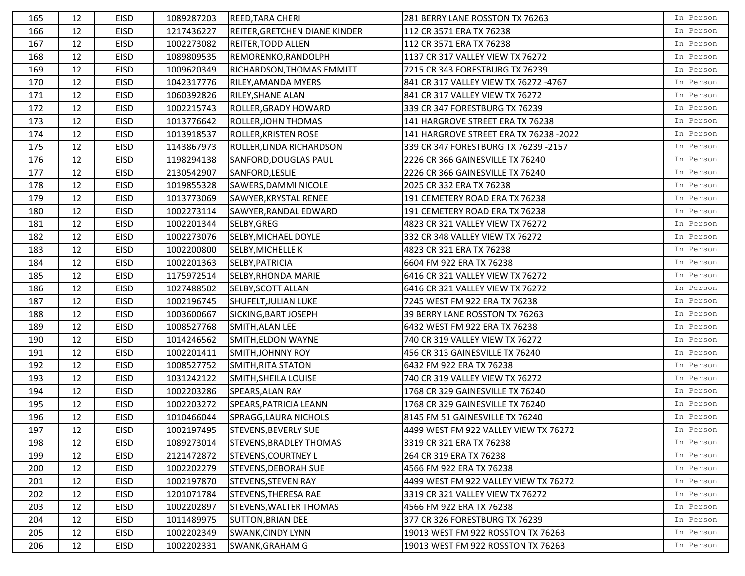| 165 | 12 | <b>EISD</b> | 1089287203 | <b>REED, TARA CHERI</b>        | 281 BERRY LANE ROSSTON TX 76263        | In Person |
|-----|----|-------------|------------|--------------------------------|----------------------------------------|-----------|
| 166 | 12 | <b>EISD</b> | 1217436227 | REITER, GRETCHEN DIANE KINDER  | 112 CR 3571 ERA TX 76238               | In Person |
| 167 | 12 | EISD        | 1002273082 | <b>REITER, TODD ALLEN</b>      | 112 CR 3571 ERA TX 76238               | In Person |
| 168 | 12 | <b>EISD</b> | 1089809535 | REMORENKO, RANDOLPH            | 1137 CR 317 VALLEY VIEW TX 76272       | In Person |
| 169 | 12 | <b>EISD</b> | 1009620349 | RICHARDSON, THOMAS EMMITT      | 7215 CR 343 FORESTBURG TX 76239        | In Person |
| 170 | 12 | EISD        | 1042317776 | RILEY, AMANDA MYERS            | 841 CR 317 VALLEY VIEW TX 76272 -4767  | In Person |
| 171 | 12 | <b>EISD</b> | 1060392826 | <b>RILEY, SHANE ALAN</b>       | 841 CR 317 VALLEY VIEW TX 76272        | In Person |
| 172 | 12 | <b>EISD</b> | 1002215743 | ROLLER, GRADY HOWARD           | 339 CR 347 FORESTBURG TX 76239         | In Person |
| 173 | 12 | <b>EISD</b> | 1013776642 | ROLLER, JOHN THOMAS            | 141 HARGROVE STREET ERA TX 76238       | In Person |
| 174 | 12 | <b>EISD</b> | 1013918537 | <b>ROLLER, KRISTEN ROSE</b>    | 141 HARGROVE STREET ERA TX 76238 -2022 | In Person |
| 175 | 12 | <b>EISD</b> | 1143867973 | ROLLER, LINDA RICHARDSON       | 339 CR 347 FORESTBURG TX 76239 -2157   | In Person |
| 176 | 12 | <b>EISD</b> | 1198294138 | SANFORD, DOUGLAS PAUL          | 2226 CR 366 GAINESVILLE TX 76240       | In Person |
| 177 | 12 | <b>EISD</b> | 2130542907 | SANFORD, LESLIE                | 2226 CR 366 GAINESVILLE TX 76240       | In Person |
| 178 | 12 | <b>EISD</b> | 1019855328 | SAWERS, DAMMI NICOLE           | 2025 CR 332 ERA TX 76238               | In Person |
| 179 | 12 | <b>EISD</b> | 1013773069 | SAWYER, KRYSTAL RENEE          | 191 CEMETERY ROAD ERA TX 76238         | In Person |
| 180 | 12 | <b>EISD</b> | 1002273114 | SAWYER, RANDAL EDWARD          | 191 CEMETERY ROAD ERA TX 76238         | In Person |
| 181 | 12 | <b>EISD</b> | 1002201344 | SELBY, GREG                    | 4823 CR 321 VALLEY VIEW TX 76272       | In Person |
| 182 | 12 | <b>EISD</b> | 1002273076 | SELBY, MICHAEL DOYLE           | 332 CR 348 VALLEY VIEW TX 76272        | In Person |
| 183 | 12 | <b>EISD</b> | 1002200800 | <b>SELBY, MICHELLE K</b>       | 4823 CR 321 ERA TX 76238               | In Person |
| 184 | 12 | <b>EISD</b> | 1002201363 | SELBY, PATRICIA                | 6604 FM 922 ERA TX 76238               | In Person |
| 185 | 12 | EISD        | 1175972514 | <b>SELBY, RHONDA MARIE</b>     | 6416 CR 321 VALLEY VIEW TX 76272       | In Person |
| 186 | 12 | <b>EISD</b> | 1027488502 | <b>SELBY, SCOTT ALLAN</b>      | 6416 CR 321 VALLEY VIEW TX 76272       | In Person |
| 187 | 12 | <b>EISD</b> | 1002196745 | SHUFELT, JULIAN LUKE           | 7245 WEST FM 922 ERA TX 76238          | In Person |
| 188 | 12 | <b>EISD</b> | 1003600667 | SICKING, BART JOSEPH           | 39 BERRY LANE ROSSTON TX 76263         | In Person |
| 189 | 12 | <b>EISD</b> | 1008527768 | SMITH, ALAN LEE                | 6432 WEST FM 922 ERA TX 76238          | In Person |
| 190 | 12 | <b>EISD</b> | 1014246562 | SMITH, ELDON WAYNE             | 740 CR 319 VALLEY VIEW TX 76272        | In Person |
| 191 | 12 | EISD        | 1002201411 | <b>SMITH, JOHNNY ROY</b>       | 456 CR 313 GAINESVILLE TX 76240        | In Person |
| 192 | 12 | EISD        | 1008527752 | SMITH, RITA STATON             | 6432 FM 922 ERA TX 76238               | In Person |
| 193 | 12 | <b>EISD</b> | 1031242122 | SMITH, SHEILA LOUISE           | 740 CR 319 VALLEY VIEW TX 76272        | In Person |
| 194 | 12 | <b>EISD</b> | 1002203286 | SPEARS, ALAN RAY               | 1768 CR 329 GAINESVILLE TX 76240       | In Person |
| 195 | 12 | <b>EISD</b> | 1002203272 | SPEARS, PATRICIA LEANN         | 1768 CR 329 GAINESVILLE TX 76240       | In Person |
| 196 | 12 | <b>EISD</b> | 1010466044 | SPRAGG, LAURA NICHOLS          | 8145 FM 51 GAINESVILLE TX 76240        | In Person |
| 197 | 12 | EISD        | 1002197495 | <b>STEVENS, BEVERLY SUE</b>    | 4499 WEST FM 922 VALLEY VIEW TX 76272  | In Person |
| 198 | 12 | EISD        | 1089273014 | <b>STEVENS, BRADLEY THOMAS</b> | 3319 CR 321 ERA TX 76238               | In Person |
| 199 | 12 | EISD        | 2121472872 | <b>STEVENS, COURTNEY L</b>     | 264 CR 319 ERA TX 76238                | In Person |
| 200 | 12 | EISD        | 1002202279 | <b>STEVENS, DEBORAH SUE</b>    | 4566 FM 922 ERA TX 76238               | In Person |
| 201 | 12 | <b>EISD</b> | 1002197870 | <b>STEVENS, STEVEN RAY</b>     | 4499 WEST FM 922 VALLEY VIEW TX 76272  | In Person |
| 202 | 12 | EISD        | 1201071784 | STEVENS, THERESA RAE           | 3319 CR 321 VALLEY VIEW TX 76272       | In Person |
| 203 | 12 | EISD        | 1002202897 | <b>STEVENS, WALTER THOMAS</b>  | 4566 FM 922 ERA TX 76238               | In Person |
| 204 | 12 | EISD        | 1011489975 | <b>SUTTON, BRIAN DEE</b>       | 377 CR 326 FORESTBURG TX 76239         | In Person |
| 205 | 12 | EISD        | 1002202349 | <b>SWANK, CINDY LYNN</b>       | 19013 WEST FM 922 ROSSTON TX 76263     | In Person |
| 206 | 12 | EISD        | 1002202331 | SWANK, GRAHAM G                | 19013 WEST FM 922 ROSSTON TX 76263     | In Person |